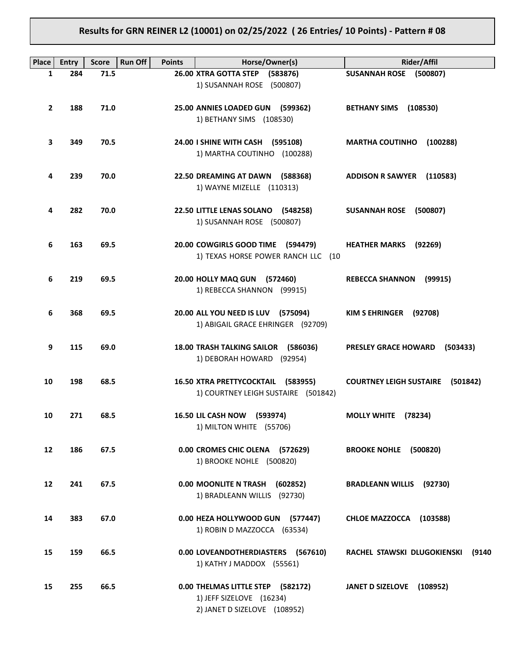# **Results for GRN REINER L2 (10001) on 02/25/2022 ( 26 Entries/ 10 Points) - Pattern # 08**

| Place           | <b>Entry</b> | <b>Run Off</b><br><b>Score</b> | <b>Points</b> | Horse/Owner(s)                                                          | Rider/Affil                                |
|-----------------|--------------|--------------------------------|---------------|-------------------------------------------------------------------------|--------------------------------------------|
| 1               | 284          | 71.5                           |               | 26.00 XTRA GOTTA STEP (583876)                                          | SUSANNAH ROSE (500807)                     |
|                 |              |                                |               | 1) SUSANNAH ROSE (500807)                                               |                                            |
| $\overline{2}$  | 188          | 71.0                           |               | 25.00 ANNIES LOADED GUN (599362)                                        | BETHANY SIMS (108530)                      |
|                 |              |                                |               | 1) BETHANY SIMS (108530)                                                |                                            |
|                 |              |                                |               |                                                                         |                                            |
| 3               | 349          | 70.5                           |               | 24.00 I SHINE WITH CASH (595108)<br>1) MARTHA COUTINHO (100288)         | <b>MARTHA COUTINHO</b><br>(100288)         |
|                 |              |                                |               |                                                                         |                                            |
| 4               | 239          | 70.0                           |               | 22.50 DREAMING AT DAWN (588368)                                         | ADDISON R SAWYER (110583)                  |
|                 |              |                                |               | 1) WAYNE MIZELLE (110313)                                               |                                            |
| 4               | 282          | 70.0                           |               | 22.50 LITTLE LENAS SOLANO (548258)                                      | SUSANNAH ROSE (500807)                     |
|                 |              |                                |               | 1) SUSANNAH ROSE (500807)                                               |                                            |
|                 |              |                                |               |                                                                         |                                            |
| 6               | 163          | 69.5                           |               | 20.00 COWGIRLS GOOD TIME (594479)<br>1) TEXAS HORSE POWER RANCH LLC (10 | <b>HEATHER MARKS</b><br>(92269)            |
|                 |              |                                |               |                                                                         |                                            |
| 6               | 219          | 69.5                           |               | 20.00 HOLLY MAQ GUN (572460)                                            | <b>REBECCA SHANNON</b><br>(99915)          |
|                 |              |                                |               | 1) REBECCA SHANNON (99915)                                              |                                            |
| 6               | 368          | 69.5                           |               | 20.00 ALL YOU NEED IS LUV (575094)                                      | KIM S EHRINGER (92708)                     |
|                 |              |                                |               | 1) ABIGAIL GRACE EHRINGER (92709)                                       |                                            |
|                 |              |                                |               |                                                                         |                                            |
| 9               | 115          | 69.0                           |               | 18.00 TRASH TALKING SAILOR (586036)<br>1) DEBORAH HOWARD (92954)        | PRESLEY GRACE HOWARD<br>(503433)           |
|                 |              |                                |               |                                                                         |                                            |
| 10              | 198          | 68.5                           |               | 16.50 XTRA PRETTYCOCKTAIL (583955)                                      | <b>COURTNEY LEIGH SUSTAIRE</b><br>(501842) |
|                 |              |                                |               | 1) COURTNEY LEIGH SUSTAIRE (501842)                                     |                                            |
| 10              | 271          | 68.5                           |               | 16.50 LIL CASH NOW (593974)                                             | MOLLY WHITE (78234)                        |
|                 |              |                                |               | 1) MILTON WHITE (55706)                                                 |                                            |
|                 |              |                                |               |                                                                         |                                            |
| 12 <sup>2</sup> | 186          | 67.5                           |               | 0.00 CROMES CHIC OLENA (572629)                                         | <b>BROOKE NOHLE (500820)</b>               |
|                 |              |                                |               | 1) BROOKE NOHLE (500820)                                                |                                            |
| 12              | 241          | 67.5                           |               | 0.00 MOONLITE N TRASH<br>(602852)                                       | <b>BRADLEANN WILLIS</b> (92730)            |
|                 |              |                                |               | 1) BRADLEANN WILLIS (92730)                                             |                                            |
| 14              | 383          | 67.0                           |               | 0.00 HEZA HOLLYWOOD GUN (577447)                                        | <b>CHLOE MAZZOCCA</b><br>(103588)          |
|                 |              |                                |               | 1) ROBIN D MAZZOCCA (63534)                                             |                                            |
|                 |              |                                |               |                                                                         |                                            |
| 15              | 159          | 66.5                           |               | 0.00 LOVEANDOTHERDIASTERS (567610)                                      | RACHEL STAWSKI DLUGOKIENSKI<br>(9140       |
|                 |              |                                |               | 1) KATHY J MADDOX (55561)                                               |                                            |
| 15              | 255          | 66.5                           |               | 0.00 THELMAS LITTLE STEP (582172)                                       | <b>JANET D SIZELOVE</b><br>(108952)        |
|                 |              |                                |               | 1) JEFF SIZELOVE (16234)                                                |                                            |
|                 |              |                                |               | 2) JANET D SIZELOVE (108952)                                            |                                            |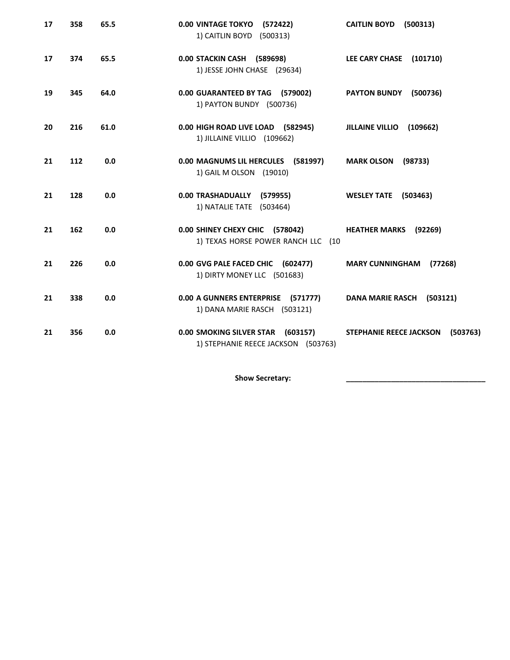| 17 | 358 | 65.5 | <b>0.00 VINTAGE TOKYO</b><br>(572422)<br>1) CAITLIN BOYD (500313)        | <b>CAITLIN BOYD</b><br>(500313)            |
|----|-----|------|--------------------------------------------------------------------------|--------------------------------------------|
| 17 | 374 | 65.5 | 0.00 STACKIN CASH (589698)<br>1) JESSE JOHN CHASE (29634)                | LEE CARY CHASE (101710)                    |
| 19 | 345 | 64.0 | 0.00 GUARANTEED BY TAG (579002)<br>1) PAYTON BUNDY (500736)              | PAYTON BUNDY (500736)                      |
| 20 | 216 | 61.0 | 0.00 HIGH ROAD LIVE LOAD (582945)<br>1) JILLAINE VILLIO (109662)         | <b>JILLAINE VILLIO</b><br>(109662)         |
| 21 | 112 | 0.0  | 0.00 MAGNUMS LIL HERCULES (581997)<br>1) GAIL M OLSON (19010)            | <b>MARK OLSON</b><br>(98733)               |
| 21 | 128 | 0.0  | 0.00 TRASHADUALLY (579955)<br>1) NATALIE TATE (503464)                   | <b>WESLEY TATE</b><br>(503463)             |
| 21 | 162 | 0.0  | 0.00 SHINEY CHEXY CHIC (578042)<br>1) TEXAS HORSE POWER RANCH LLC (10    | <b>HEATHER MARKS (92269)</b>               |
| 21 | 226 | 0.0  | 0.00 GVG PALE FACED CHIC (602477)<br>1) DIRTY MONEY LLC (501683)         | <b>MARY CUNNINGHAM</b><br>(77268)          |
| 21 | 338 | 0.0  | 0.00 A GUNNERS ENTERPRISE (571777)<br>1) DANA MARIE RASCH (503121)       | <b>DANA MARIE RASCH</b><br>(503121)        |
| 21 | 356 | 0.0  | 0.00 SMOKING SILVER STAR (603157)<br>1) STEPHANIE REECE JACKSON (503763) | <b>STEPHANIE REECE JACKSON</b><br>(503763) |

Show Secretary: